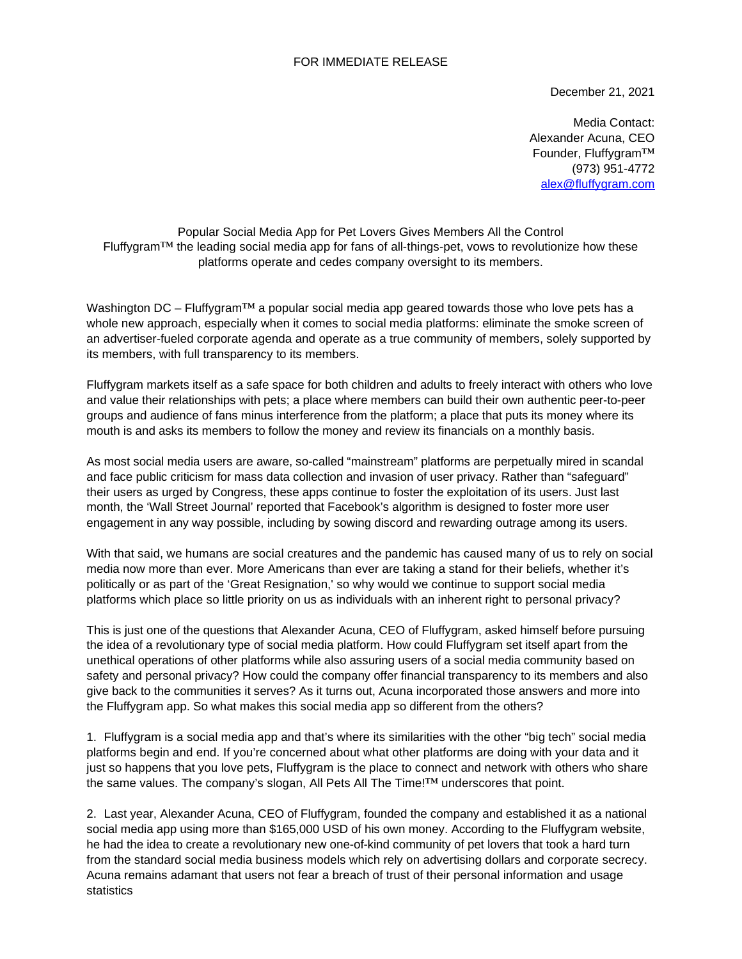## FOR IMMEDIATE RELEASE

December 21, 2021

Media Contact: Alexander Acuna, CEO Founder, Fluffygram™ (973) 951-4772 alex@fluffygram.com

Popular Social Media App for Pet Lovers Gives Members All the Control Fluffygram™ the leading social media app for fans of all-things-pet, vows to revolutionize how these platforms operate and cedes company oversight to its members.

Washington DC – Fluffygram<sup>TM</sup> a popular social media app geared towards those who love pets has a whole new approach, especially when it comes to social media platforms: eliminate the smoke screen of an advertiser-fueled corporate agenda and operate as a true community of members, solely supported by its members, with full transparency to its members.

Fluffygram markets itself as a safe space for both children and adults to freely interact with others who love and value their relationships with pets; a place where members can build their own authentic peer-to-peer groups and audience of fans minus interference from the platform; a place that puts its money where its mouth is and asks its members to follow the money and review its financials on a monthly basis.

As most social media users are aware, so-called "mainstream" platforms are perpetually mired in scandal and face public criticism for mass data collection and invasion of user privacy. Rather than "safeguard" their users as urged by Congress, these apps continue to foster the exploitation of its users. Just last month, the 'Wall Street Journal' reported that Facebook's algorithm is designed to foster more user engagement in any way possible, including by sowing discord and rewarding outrage among its users.

With that said, we humans are social creatures and the pandemic has caused many of us to rely on social media now more than ever. More Americans than ever are taking a stand for their beliefs, whether it's politically or as part of the 'Great Resignation,' so why would we continue to support social media platforms which place so little priority on us as individuals with an inherent right to personal privacy?

This is just one of the questions that Alexander Acuna, CEO of Fluffygram, asked himself before pursuing the idea of a revolutionary type of social media platform. How could Fluffygram set itself apart from the unethical operations of other platforms while also assuring users of a social media community based on safety and personal privacy? How could the company offer financial transparency to its members and also give back to the communities it serves? As it turns out, Acuna incorporated those answers and more into the Fluffygram app. So what makes this social media app so different from the others?

1. Fluffygram is a social media app and that's where its similarities with the other "big tech" social media platforms begin and end. If you're concerned about what other platforms are doing with your data and it just so happens that you love pets, Fluffygram is the place to connect and network with others who share the same values. The company's slogan, All Pets All The Time! $^{TM}$  underscores that point.

2. Last year, Alexander Acuna, CEO of Fluffygram, founded the company and established it as a national social media app using more than \$165,000 USD of his own money. According to the Fluffygram website, he had the idea to create a revolutionary new one-of-kind community of pet lovers that took a hard turn from the standard social media business models which rely on advertising dollars and corporate secrecy. Acuna remains adamant that users not fear a breach of trust of their personal information and usage statistics